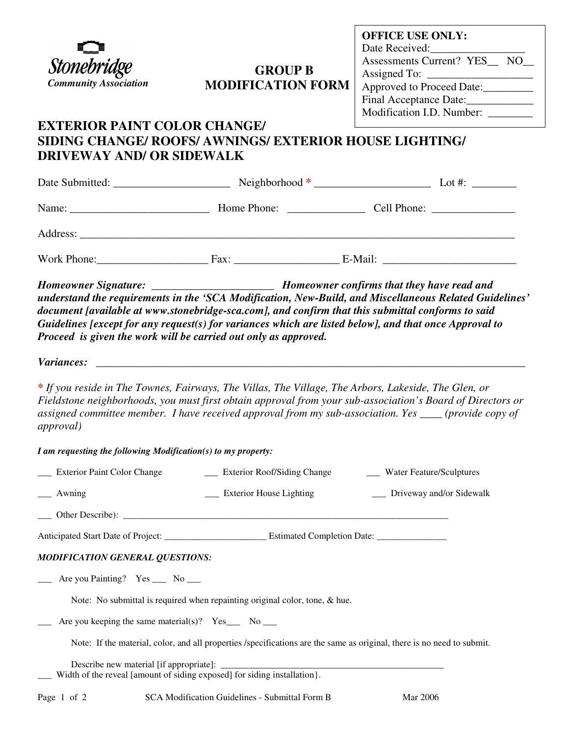

## **GROUP B MODIFICATION FORM**

## **EXTERIOR PAINT COLOR CHANGE/ SIDING CHANGE/ ROOFS/ AWNINGS/ EXTERIOR HOUSE LIGHTING/ DRIVEWAY AND/ OR SIDEWALK**

|          |                                                                                                                                                                                                                                | Lot #: $\frac{1}{2}$ |
|----------|--------------------------------------------------------------------------------------------------------------------------------------------------------------------------------------------------------------------------------|----------------------|
| Name:    | Home Phone:                                                                                                                                                                                                                    |                      |
| Address: |                                                                                                                                                                                                                                |                      |
|          | Fax: The contract of the contract of the contract of the contract of the contract of the contract of the contract of the contract of the contract of the contract of the contract of the contract of the contract of the contr | E-Mail:              |

*Homeowner Signature: \_\_\_\_\_\_\_\_\_\_\_\_\_\_\_\_\_\_\_\_\_\_ Homeowner confirms that they have read and understand the requirements in the 'SCA Modification, New-Build, and Miscellaneous Related Guidelines' document [available at www.stonebridge-sca.com], and confirm that this submittal conforms to said Guidelines [except for any request(s) for variances which are listed below], and that once Approval to Proceed is given the work will be carried out only as approved.* 

*Variances: \_\_\_\_\_\_\_\_\_\_\_\_\_\_\_\_\_\_\_\_\_\_\_\_\_\_\_\_\_\_\_\_\_\_\_\_\_\_\_\_\_\_\_\_\_\_\_\_\_\_\_\_\_\_\_\_\_\_\_\_\_\_\_\_\_\_\_\_\_\_\_\_\_\_\_\_\_* 

*\* If you reside in The Townes, Fairways, The Villas, The Village, The Arbors, Lakeside, The Glen, or Fieldstone neighborhoods, you must first obtain approval from your sub-association's Board of Directors or assigned committee member. I have received approval from my sub-association. Yes \_\_\_\_ (provide copy of approval)* 

*I am requesting the following Modification(s) to my property:* 

| __ Exterior Paint Color Change                                                                                              | ____ Exterior Roof/Siding Change | ___ Water Feature/Sculptures |  |  |
|-----------------------------------------------------------------------------------------------------------------------------|----------------------------------|------------------------------|--|--|
| $\frac{1}{2}$ Awning                                                                                                        | ___ Exterior House Lighting      | __ Driveway and/or Sidewalk  |  |  |
|                                                                                                                             |                                  |                              |  |  |
|                                                                                                                             |                                  |                              |  |  |
| <b>MODIFICATION GENERAL QUESTIONS:</b>                                                                                      |                                  |                              |  |  |
| $\frac{1}{\sqrt{1-\frac{1}{2}}}$ Are you Painting? Yes $\frac{1}{\sqrt{1-\frac{1}{2}}}$ No $\frac{1}{\sqrt{1-\frac{1}{2}}}$ |                                  |                              |  |  |
| Note: No submittal is required when repainting original color, tone, & hue.                                                 |                                  |                              |  |  |
| Are you keeping the same material(s)? $Yes_{--}$ No ___                                                                     |                                  |                              |  |  |
| Note: If the material, color, and all properties /specifications are the same as original, there is no need to submit.      |                                  |                              |  |  |
| Width of the reveal [amount of siding exposed] for siding installation}.                                                    |                                  |                              |  |  |